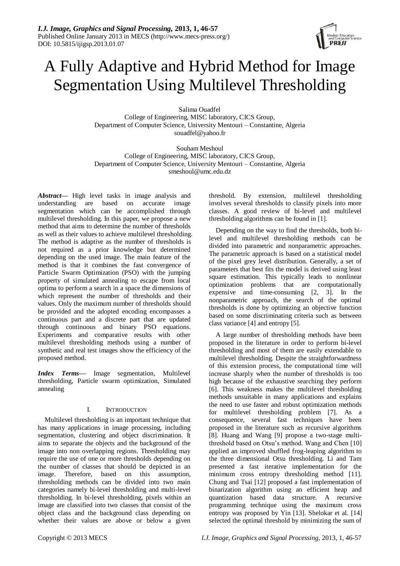# A Fully Adaptive and Hybrid Method for Image Segmentation Using Multilevel Thresholding

Salima Ouadfel College of Engineering, MISC laboratory, CICS Group, Department of Computer Science, University Mentouri – Constantine, Algeria souadfel@yahoo.fr

Souham Meshoul College of Engineering, MISC laboratory, CICS Group, Department of Computer Science, University Mentouri – Constantine, Algeria smeshoul@umc.edu.dz

*Abstract—* High level tasks in image analysis and understanding are based on accurate image segmentation which can be accomplished through multilevel thresholding. In this paper, we propose a new method that aims to determine the number of thresholds as well as their values to achieve multilevel thresholding. The method is adaptive as the number of thresholds is not required as a prior knowledge but determined depending on the used image. The main feature of the method is that it combines the fast convergence of Particle Swarm Optimization (PSO) with the jumping property of simulated annealing to escape from local optima to perform a search in a space the dimensions of which represent the number of thresholds and their values. Only the maximum number of thresholds should be provided and the adopted encoding encompasses a continuous part and a discrete part that are updated through continuous and binary PSO equations. Experiments and comparative results with other multilevel thresholding methods using a number of synthetic and real test images show the efficiency of the proposed method.

*Index Terms—* Image segmentation, Multilevel thresholding, Particle swarm optimization, Simulated annealing

# I. INTRODUCTION

Multilevel thresholding is an important technique that has many applications in image processing, including segmentation, clustering and object discrimination. It aims to separate the objects and the background of the image into non overlapping regions. Thresholding may require the use of one or more thresholds depending on the number of classes that should be depicted in an image. Therefore, based on this assumption, thresholding methods can be divided into two main categories namely bi-level thresholding and multi-level thresholding. In bi-level thresholding, pixels within an image are classified into two classes that consist of the object class and the background class depending on whether their values are above or below a given threshold. By extension, multilevel thresholding involves several thresholds to classify pixels into more classes. A good review of bi-level and multilevel thresholding algorithms can be found in [1].

Depending on the way to find the thresholds, both bilevel and multilevel thresholding methods can be divided into parametric and nonparametric approaches. The parametric approach is based on a statistical model of the pixel grey level distribution. Generally, a set of parameters that best fits the model is derived using least square estimation. This typically leads to nonlinear optimization problems that are computationally expensive and time-consuming [2, 3]. In the nonparametric approach, the search of the optimal thresholds is done by optimizing an objective function based on some discriminating criteria such as between class variance [4] and entropy [5].

A large number of thresholding methods have been proposed in the literature in order to perform bi-level thresholding and most of them are easily extendable to multilevel thresholding. Despite the straightforwardness of this extension process, the computational time will increase sharply when the number of thresholds is too high because of the exhaustive searching they perform [6]. This weakness makes the multilevel thresholding methods unsuitable in many applications and explains the need to use faster and robust optimization methods for multilevel thresholding problem [7]. As a consequence, several fast techniques have been proposed in the literature such as recursive algorithms [8]. Huang and Wang [9] propose a two-stage multithreshold based on Otsu's method. Wang and Chen [10] applied an improved shuffled frog-leaping algorithm to the three dimensional Otsu thresholding. Li and Tam presented a fast iterative implementation for the minimum cross entropy thresholding method [11]. Chung and Tsai [12] proposed a fast implementation of binarization algorithm using an efficient heap and quantization based data structure. A recursive programming technique using the maximum cross entropy was proposed by Yin [13]. Shelokar et al. [14] selected the optimal threshold by minimizing the sum of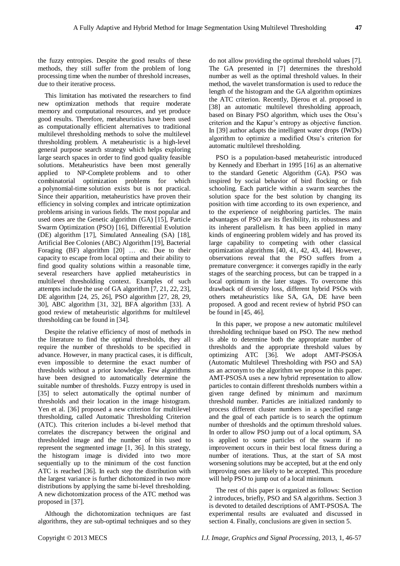the fuzzy entropies. Despite the good results of these methods, they still suffer from the problem of long processing time when the number of threshold increases, due to their iterative process.

This limitation has motivated the researchers to find new optimization methods that require moderate memory and computational resources, and yet produce good results. Therefore, metaheuristics have been used as computationally efficient alternatives to traditional multilevel thresholding methods to solve the multilevel thresholding problem. A metaheuristic is a high-level general purpose search strategy which helps exploring large search spaces in order to find good quality feasible solutions. Metaheuristics have been most generally applied to NP-Complete problems and to other combinatorial optimization problems for which a polynomial-time solution exists but is not practical. Since their apparition, metaheuristics have proven their efficiency in solving complex and intricate optimization problems arising in various fields. The most popular and used ones are the Genetic algorithm (GA) [15], Particle Swarm Optimization (PSO) [16], Differential Evolution (DE) algorithm [17], Simulated Annealing (SA) [18], Artificial Bee Colonies (ABC) Algorithm [19], Bacterial Foraging (BF) algorithm [20] … etc. Due to their capacity to escape from local optima and their ability to find good quality solutions within a reasonable time, several researchers have applied metaheuristics in multilevel thresholding context. Examples of such attempts include the use of GA algorithm [7, 21, 22, 23], DE algorithm [24, 25, 26], PSO algorithm [27, 28, 29, 30], ABC algorithm [31, 32], BFA algorithm [33]. A good review of metaheuristic algorithms for multilevel thresholding can be found in [34].

Despite the relative efficiency of most of methods in the literature to find the optimal thresholds, they all require the number of thresholds to be specified in advance. However, in many practical cases, it is difficult, even impossible to determine the exact number of thresholds without a prior knowledge. Few algorithms have been designed to automatically determine the suitable number of thresholds. Fuzzy entropy is used in [35] to select automatically the optimal number of thresholds and their location in the image histogram. Yen et al. [36] proposed a new criterion for multilevel thresholding, called Automatic Thresholding Criterion (ATC). This criterion includes a bi-level method that correlates the discrepancy between the original and thresholded image and the number of bits used to represent the segmented image [1, 36]. In this strategy, the histogram image is divided into two more sequentially up to the minimum of the cost function ATC is reached [36]. In each step the distribution with the largest variance is further dichotomized in two more distributions by applying the same bi-level thresholding. A new dichotomization process of the ATC method was proposed in [37].

Although the dichotomization techniques are fast algorithms, they are sub-optimal techniques and so they do not allow providing the optimal threshold values [7]. The GA presented in [7] determines the threshold number as well as the optimal threshold values. In their method, the wavelet transformation is used to reduce the length of the histogram and the GA algorithm optimizes the ATC criterion. Recently, Djerou et al. proposed in [38] an automatic multilevel thresholding approach, based on Binary PSO algorithm, which uses the Otsu's criterion and the Kapur's entropy as objective function. In [39] author adapts the intelligent water drops (IWDs) algorithm to optimize a modified Otsu's criterion for automatic multilevel thresholding.

PSO is a population-based metaheuristic introduced by Kennedy and Eberhart in 1995 [16] as an alternative to the standard Genetic Algorithm (GA). PSO was inspired by social behavior of bird flocking or fish schooling. Each particle within a swarm searches the solution space for the best solution by changing its position with time according to its own experience, and to the experience of neighboring particles. The main advantages of PSO are its flexibility, its robustness and its inherent parallelism. It has been applied in many kinds of engineering problem widely and has proved its large capability to competing with other classical optimization algorithms [40, 41, 42, 43, 44]. However, observations reveal that the PSO suffers from a premature convergence: it converges rapidly in the early stages of the searching process, but can be trapped in a local optimum in the later stages. To overcome this drawback of diversity loss, different hybrid PSOs with others metaheuristics like SA, GA, DE have been proposed. A good and recent review of hybrid PSO can be found in [45, 46].

In this paper, we propose a new automatic multilevel thresholding technique based on PSO. The new method is able to determine both the appropriate number of thresholds and the appropriate threshold values by optimizing ATC [36]. We adopt AMT-PSOSA (Automatic Multilevel Thresholding with PSO and SA) as an acronym to the algorithm we propose in this paper. AMT-PSOSA uses a new hybrid representation to allow particles to contain different thresholds numbers within a given range defined by minimum and maximum threshold number. Particles are initialized randomly to process different cluster numbers in a specified range and the goal of each particle is to search the optimum number of thresholds and the optimum threshold values. In order to allow PSO jump out of a local optimum, SA is applied to some particles of the swarm if no improvement occurs in their best local fitness during a number of iterations. Thus, at the start of SA most worsening solutions may be accepted, but at the end only improving ones are likely to be accepted. This procedure will help PSO to jump out of a local minimum.

The rest of this paper is organized as follows: Section 2 introduces, briefly, PSO and SA algorithms. Section 3 is devoted to detailed descriptions of AMT-PSOSA. The experimental results are evaluated and discussed in section 4. Finally, conclusions are given in section 5.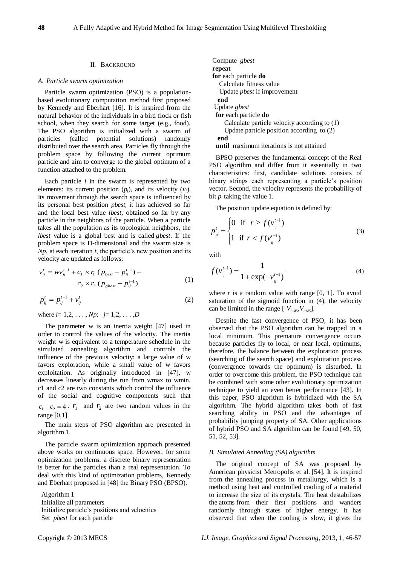#### II. BACKROUND

#### *A. Particle swarm optimization*

Particle swarm optimization (PSO) is a populationbased evolutionary computation method first proposed by Kennedy and Eberhart [16]. It is inspired from the natural behavior of the individuals in a bird flock or fish school, when they search for some target (e.g., food). The PSO algorithm is initialized with a swarm of particles (called potential solutions) randomly distributed over the search area. Particles fly through the problem space by following the current optimum particle and aim to converge to the global optimum of a function attached to the problem.

Each particle *i* in the swarm is represented by two elements: its current position  $(p_i)$ , and its velocity  $(v_i)$ . Its movement through the search space is influenced by its personal best position *pbest<sup>i</sup>* it has achieved so far and the local best value *lbest*, obtained so far by any particle in the neighbors of the particle. When a particle takes all the population as its topological neighbors, the *lbest* value is a global best and is called *gbest*. If the problem space is D-dimensional and the swarm size is *Np*, at each iteration *t*, the particle's new position and its velocity are updated as follows:

$$
v_{ij}^t = w v_{ij}^{t-1} + c_1 \times r_1 (p_{best} - p_{ij}^{t-1}) +
$$
  

$$
c_2 \times r_2 (p_{gbest} - p_{ij}^{t-1})
$$
 (1)

$$
p_{ij}^t = p_{ij}^{t-1} + v_{ij}^t
$$
 (2)

where  $i = 1, 2, ..., Np$ ;  $j = 1, 2, ..., D$ 

The parameter w is an inertia weight [47] used in order to control the values of the velocity. The inertia weight w is equivalent to a temperature schedule in the simulated annealing algorithm and controls the influence of the previous velocity: a large value of w favors exploration, while a small value of w favors exploitation. As originally introduced in [47], w decreases linearly during the run from wmax to wmin. c1 and c2 are two constants which control the influence of the social and cognitive components such that  $c_1 + c_2 = 4$ .  $r_1$  and  $r_2$  are two random values in the range [0,1].

The main steps of PSO algorithm are presented in algorithm 1.

The particle swarm optimization approach presented above works on continuous space. However, for some optimization problems, a discrete binary representation is better for the particles than a real representation. To deal with this kind of optimization problems, Kennedy and Eberhart proposed in [48] the Binary PSO (BPSO).

Algorithm 1 Initialize all parameters Initialize particle's positions and velocities Set *pbest* for each particle

| Compute <i>gbest</i>                            |
|-------------------------------------------------|
| repeat                                          |
| for each particle do                            |
| Calculate fitness value                         |
| Update <i>pbest</i> if improvement              |
| end                                             |
| Update <i>gbest</i>                             |
| for each particle do                            |
| Calculate particle velocity according to (1)    |
| Update particle position according to $(2)$     |
| end                                             |
| <b>until</b> maximum iterations is not attained |

BPSO preserves the fundamental concept of the Real PSO algorithm and differ from it essentially in two characteristics: first, candidate solutions consists of binary strings each representing a particle's position vector. Second, the velocity represents the probability of bit  $p_i$  taking the value 1.

The position update equation is defined by:

$$
p_{ij}^{t} = \begin{cases} 0 & \text{if } r \ge f(v_{ij}^{t-1}) \\ 1 & \text{if } r < f(v_{ij}^{t-1}) \end{cases}
$$
 (3)

with

$$
f(v_j^{t-1}) = \frac{1}{1 + \exp(-v_{ij}^{t-1})}
$$
(4)

where  $r$  is a random value with range  $[0, 1]$ . To avoid saturation of the sigmoid function in (4), the velocity can be limited in the range  $[-V_{max}, V_{max}]$ .

Despite the fast convergence of PSO, it has been observed that the PSO algorithm can be trapped in a local minimum. This premature convergence occurs because particles fly to local, or near local, optimums, therefore, the balance between the exploration process (searching of the search space) and exploitation process (convergence towards the optimum) is disturbed. In order to overcome this problem, the PSO technique can be combined with some other evolutionary optimization technique to yield an even better performance [43]. In this paper, PSO algorithm is hybridized with the SA algorithm. The hybrid algorithm takes both of fast searching ability in PSO and the advantages of probability jumping property of SA. Other applications of hybrid PSO and SA algorithm can be found [49, 50, 51, 52, 53].

# *B. Simulated Annealing (SA) algorithm*

The original concept of SA was proposed by American physicist Metropolis et al. [54]. It is inspired from the annealing process in metallurgy, which is a method using heat and controlled cooling of a material to increase the size of its crystals. The heat destabilizes the atoms from their first positions and wanders randomly through states of higher energy. It has observed that when the cooling is slow, it gives the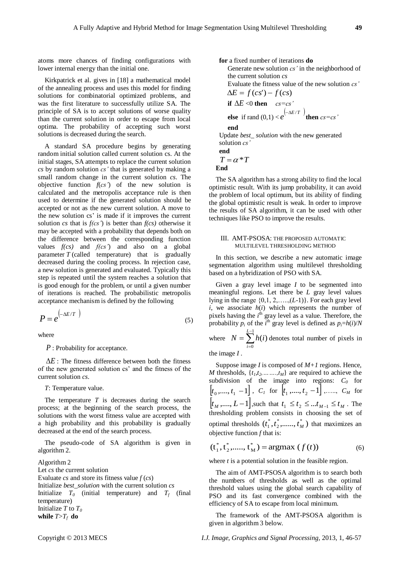atoms more chances of finding configurations with lower internal energy than the initial one.

Kirkpatrick et al. gives in [18] a mathematical model of the annealing process and uses this model for finding solutions for combinatorial optimized problems, and was the first literature to successfully utilize SA. The principle of SA is to accept solutions of worse quality than the current solution in order to escape from local optima. The probability of accepting such worst solutions is decreased during the search.

A standard SA procedure begins by generating random initial solution called current solution cs. At the initial stages, SA attempts to replace the current solution *cs* by random solution *cs'* that is generated by making a small random change in the current solution *cs*. The objective function *f*(*cs'*) of the new solution is calculated and the metropolis acceptance rule is then used to determine if the generated solution should be accepted or not as the new current solution. A move to the new solution cs' is made if it improves the current solution *cs* that is  $f(cs')$  is better than  $f(cs)$  otherwise it may be accepted with a probability that depends both on the difference between the corresponding function values *f(cs)* and *f(cs'*) and also on a global parameter *T* (called temperature) that is gradually decreased during the cooling process. In rejection case, a new solution is generated and evaluated. Typically this step is repeated until the system reaches a solution that is good enough for the problem, or until a given number of iterations is reached. The probabilistic metropolis acceptance mechanism is defined by the following

$$
P = e^{\left(-\Delta E/T\right)}
$$
 (5)

where

*P* : Probability for acceptance.

 $\Delta E$ : The fitness difference between both the fitness of the new generated solution cs' and the fitness of the current solution *cs*.

*T*: Temperature value.

The temperature  $T$  is decreases during the search process; at the beginning of the search process, the solutions with the worst fitness value are accepted with a high probability and this probability is gradually decreased at the end of the search process.

The pseudo-code of SA algorithm is given in algorithm 2.

Algorithm 2 Let *cs* th*e* current solution Evaluate *cs* and store its fitness value *f* (*cs*) Initialize *best\_solution* with the current solution *cs* Initialize  $T_0$  (initial temperature) and  $T_f$  (final temperature) Initialize  $T$  to  $T_0$ while  $T>T_f$  do

**for** a fixed number of iterations **do** Generate new solution *cs'* in the neighborhood of the current solution *cs* Evaluate the fitness value of the new solution *cs'*  $\Delta E = f(c s') - f(c s)$ **if**  $\Delta E$  <0 **then**  $cs = cs$ **else** if rand  $(0,1) < e^{(-\Delta E/T)}$  **then**  $cs = cs$ <sup></sup>

**end**

Update *best\_ solution* with the new generated solution *cs'*

end  

$$
T = \alpha * T
$$
  
End

The SA algorithm has a strong ability to find the local optimistic result. With its jump probability, it can avoid the problem of local optimum, but its ability of finding the global optimistic result is weak. In order to improve the results of SA algorithm, it can be used with other techniques like PSO to improve the results.

### III. AMT-PSOSA: THE PROPOSED AUTOMATIC MULTILEVEL THRESHOLDING METHOD

In this section, we describe a new automatic image segmentation algorithm using multilevel thresholding based on a hybridization of PSO with SA.

Given a gray level image *I* to be segmented into meaningful regions. Let there be *L* gray level values lying in the range {0,1, 2,…..,(*L*-1)}. For each gray level  $i$ , we associate  $h(i)$  which represents the number of pixels having the *i*<sup>th</sup> gray level as a value. Therefore, the probability  $p_i$  of the  $i^{\text{th}}$  gray level is defined as  $p_i = h(i)/N$ where  $N = \sum_{n=1}^{L-1}$  $\overline{a}$  $=\sum_{l=1}^{L-1}$  $\mathbf{0}$  $\sum^{L-1} h(i)$ *i*  $N = \sum h(i)$  denotes total number of pixels in

the image 
$$
I
$$
.

Suppose image *I* is composed of *M+1* regions. Hence, *M* thresholds,  $\{t_1, t_2, \ldots, t_M\}$  are required to achieve the subdivision of the image into regions:  $C_0$  for  $[t_0, \ldots, t_1 - 1]$ ,  $C_1$  for  $[t_1, \ldots, t_2 - 1]$ , ...,  $C_M$  for  $[t_M, ..., L-1]$ , such that  $t_1 \le t_2 \le ... t_{M-1} \le t_M$ . The thresholding problem consists in choosing the set of optimal thresholds  $(t_1^*, t_2^*, \dots, t_M^*)$ 2 \*  $t_1^*, t_2^*, \dots, t_M^*$ ) that maximizes an objective function *f* that is:

$$
(\dot{t}_1^*, \dot{t}_2^*, \dots, \dot{t}_M^*) = \text{argmax} (f(t))
$$
 (6)

where *t* is a potential solution in the feasible region.

The aim of AMT-PSOSA algorithm is to search both the numbers of thresholds as well as the optimal threshold values using the global search capability of PSO and its fast convergence combined with the efficiency of SA to escape from local minimum.

The framework of the AMT-PSOSA algorithm is given in algorithm 3 below.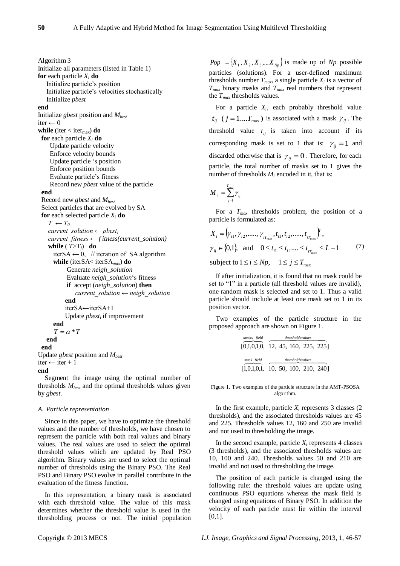Algorithm 3 Initialize all parameters (listed in Table 1) **for** each particle *X<sup>i</sup>* **do** Initialize particle's position Initialize particle's velocities stochastically Initialize *pbest* **end** Initialize *gbest* position and *Mbest* iter  $\leftarrow$  0 **while** (iter < iter<sub>max</sub>) **do for** each particle *X<sup>i</sup>* **do** Update particle velocity Enforce velocity bounds Update particle ‗s position Enforce position bounds Evaluate particle's fitness Record new *pbest* value of the particle **end** Record new *gbest* and *Mbest* Select particles that are evolved by SA **for** each selected particle *X<sup>i</sup>* **do**  $T \leftarrow T_0$ *current solution*  $\leftarrow$  *pbest<sub>i</sub> current\_fitness ← f itness(current\_solution)* **while** ( $T>T_f$ ) **do** iterSA  $\leftarrow$  0, // iteration of SA algorithm **while** (iterSA< iterSA*max*) **do** Generate *neigh\_solution* Evaluate *neigh\_solution*‗s fitness **if** accept (*neigh\_solution*) **then**  *current\_solution ← neigh\_solution*  **end** iterSA←iterSA+1 Update *pbest<sup>i</sup>* if improvement **end**  $T = \alpha * T$  **end end** Update *gbest* position and *Mbest* iter ← iter + 1 **end**

Segment the image using the optimal number of thresholds *Mbest* and the optimal thresholds values given by *gbest*.

# *A. Particle representation*

Since in this paper, we have to optimize the threshold values and the number of thresholds, we have chosen to represent the particle with both real values and binary values. The real values are used to select the optimal threshold values which are updated by Real PSO algorithm. Binary values are used to select the optimal number of thresholds using the Binary PSO. The Real PSO and Binary PSO evolve in parallel contribute in the evaluation of the fitness function.

In this representation, a binary mask is associated with each threshold value. The value of this mask determines whether the threshold value is used in the thresholding process or not. The initial population

 $Pop = \{X_1, X_2, X_3, \dots X_{N_p}\}$  is made up of *Np* possible particles (solutions). For a user-defined maximum thresholds number  $T_{max}$ , a single particle  $X_i$  is a vector of *Tmax* binary masks and *Tmax* real numbers that represent the *Tmax* thresholds values.

For a particle *X<sup>i</sup>* , each probably threshold value  $t_{ij}$  ( $j = 1...T_{max}$ ) is associated with a mask  $\gamma_{ij}$ . The threshold value  $t_{ij}$  is taken into account if its corresponding mask is set to 1 that is:  $\gamma_{ij} = 1$  and discarded otherwise that is  $\gamma_{ij} = 0$ . Therefore, for each particle, the total number of masks set to 1 gives the number of thresholds  $M_i$  encoded in it, that is:

$$
M_{i} = \sum_{j=1}^{T_{\text{max}}} \gamma_{ij}
$$

For a *Tmax* thresholds problem, the position of a particle is formulated as:

$$
X_{i} = (\gamma_{i1}, \gamma_{i2}, \dots, \gamma_{i_{T_{\text{max}}}}, t_{i1}, t_{i2}, \dots, t_{i_{T_{\text{max}}}})^{T},
$$
  
\n
$$
\gamma_{ij} \in \{0, 1\}, \text{ and } 0 \le t_{i1} \le t_{i2} \dots \le t_{i_{T_{\text{max}}}} \le L - 1 \qquad (7)
$$
  
\nsubject to  $1 \le i \le Np$ ,  $1 \le j \le T_{\text{max}}$ 

If after initialization, it is found that no mask could be set to "1" in a particle (all threshold values are invalid), one random mask is selected and set to 1. Thus a valid particle should include at least one mask set to 1 in its position vector.

Two examples of the particle structure in the proposed approach are shown on Figure 1.

| masks field                        | thresholdsvalues |  |                  |                        |  |  |  |  |  |
|------------------------------------|------------------|--|------------------|------------------------|--|--|--|--|--|
| [0,1,0,1,0, 12, 45, 160, 225, 225] |                  |  |                  |                        |  |  |  |  |  |
| mask field                         |                  |  | thresholdsvalues |                        |  |  |  |  |  |
| [1.0.1.0.1]                        |                  |  |                  | 10, 50, 100, 210, 240] |  |  |  |  |  |

Figure 1. Two examples of the particle structure in the AMT-PSOSA algorithm.

In the first example, particle  $X_i$  represents 3 classes (2) thresholds), and the associated thresholds values are 45 and 225. Thresholds values 12, 160 and 250 are invalid and not used to thresholding the image.

In the second example, particle  $X_i$  represents 4 classes (3 thresholds), and the associated thresholds values are 10, 100 and 240. Thresholds values 50 and 210 are invalid and not used to thresholding the image.

The position of each particle is changed using the following rule: the threshold values are update using continuous PSO equations whereas the mask field is changed using equations of Binary PSO. In addition the velocity of each particle must lie within the interval [0,1].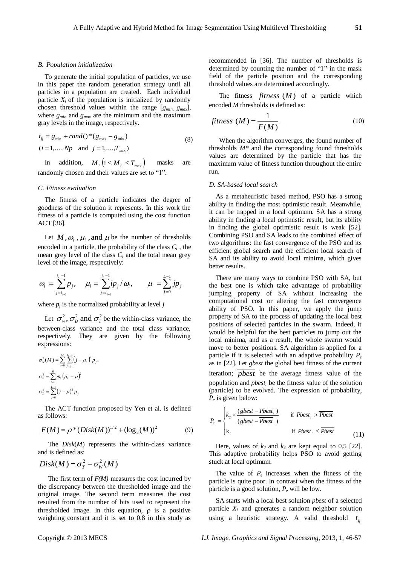#### *B. Population initialization*

To generate the initial population of particles, we use in this paper the random generation strategy until all particles in a population are created. Each individual particle  $X_i$  of the population is initialized by randomly chosen threshold values within the range [ $g_{min}$ ,  $g_{max}$ ], where *gmin* and *gmax* are the minimum and the maximum gray levels in the image, respectively.

$$
t_{ij} = g_{\min} + rand()^{*}(g_{\max} - g_{\min})
$$
  
(*i* = 1,....*Np* and *j* = 1,....*T*<sub>max</sub>) (8)

In addition,  $M_i$   $(1 \leq M_i \leq T_{max})$  masks are randomly chosen and their values are set to "1".

### *C. Fitness evaluation*

The fitness of a particle indicates the degree of goodness of the solution it represents. In this work the fitness of a particle is computed using the cost function ACT [36].

Let  $M, \omega_i, \mu_i$ , and  $\mu$  be the number of thresholds encoded in a particle, the probability of the class *C<sup>i</sup>* , the mean grey level of the class  $C_i$  and the total mean grey level of the image, respectively:

$$
\omega_i = \sum_{j=t_{i-1}}^{t_i-1} p_j, \quad \mu_i = \sum_{j=t_{i-1}}^{t_1-1} i p_j / \omega_i, \qquad \mu = \sum_{j=0}^{L-1} j p_j
$$

where  $p_j$  is the normalized probability at level  $j$ 

Let  $\sigma_w^2$ ,  $\sigma_B^2$  and  $\sigma_T^2$  be the within-class variance, the between-class variance and the total class variance, respectively. They are given by the following expressions:

$$
\sigma_w^2(M) = \sum_{i=0}^M \sum_{j=t_{i-1}}^{t_i-1} (j - \mu_i)^2 p_j,
$$
  

$$
\sigma_B^2 = \sum_{i=0}^M \omega_i (\mu_i - \mu)^2
$$
  

$$
\sigma_T^2 = \sum_{j=0}^{L-1} (j - \mu)^2 p_j
$$

The ACT function proposed by Yen et al. is defined as follows:

$$
F(M) = \rho^* (Disk(M))^{1/2} + (log_2(M))^2 \tag{9}
$$

The *Disk*(*M*) represents the within-class variance and is defined as:

$$
Disk(M) = \sigma_T^2 - \sigma_W^2(M)
$$

The first term of *F(M)* measures the cost incurred by the discrepancy between the thresholded image and the original image. The second term measures the cost resulted from the number of bits used to represent the thresholded image. In this equation,  $\rho$  is a positive weighting constant and it is set to 0.8 in this study as recommended in [36]. The number of thresholds is determined by counting the number of "1" in the mask field of the particle position and the corresponding threshold values are determined accordingly.

The fitness  $fitness(M)$  of a particle which encoded *M* thresholds is defined as:

$$
fitness (M) = \frac{1}{F(M)}
$$
\n(10)

When the algorithm converges, the found number of thresholds *M\** and the corresponding found thresholds values are determined by the particle that has the maximum value of fitness function throughout the entire run.

#### *D. SA-based local search*

As a metaheuristic based method, PSO has a strong ability in finding the most optimistic result. Meanwhile, it can be trapped in a local optimum. SA has a strong ability in finding a local optimistic result, but its ability in finding the global optimistic result is weak [52]. Combining PSO and SA leads to the combined effect of two algorithms: the fast convergence of the PSO and its efficient global search and the efficient local search of SA and its ability to avoid local minima, which gives better results.

There are many ways to combine PSO with SA, but the best one is which take advantage of probability jumping property of SA without increasing the computational cost or altering the fast convergence ability of PSO. In this paper, we apply the jump property of SA to the process of updating the local best positions of selected particles in the swarm. Indeed, it would be helpful for the best particles to jump out the local minima, and as a result, the whole swarm would move to better positions. SA algorithm is applied for a particle if it is selected with an adaptive probability *P<sup>e</sup>* as in [22]. Let *gbest* the global best fitness of the current iteration; *pbest* be the average fitness value of the population and *pbest<sup>i</sup>* be the fitness value of the solution (particle) to be evolved. The expression of probability, *Pe* is given below:

$$
P_e = \begin{cases} k_2 \times \frac{(gbest - Pbest_i)}{(gbest - Pbest)} & \text{if } Pbest_i > Pbest \\ k_4 & \text{if } Pbest_i \le Pbest \end{cases}
$$
(11)

Here, values of  $k_2$  and  $k_4$  are kept equal to 0.5 [22]. This adaptive probability helps PSO to avoid getting stuck at local optimum.

The value of  $P_e$  increases when the fitness of the particle is quite poor. In contrast when the fitness of the particle is a good solution, *P<sup>e</sup>* will be low.

SA starts with a local best solution *pbest* of a selected particle *X<sup>i</sup>* and generates a random neighbor solution using a heuristic strategy. A valid threshold  $t_{ij}$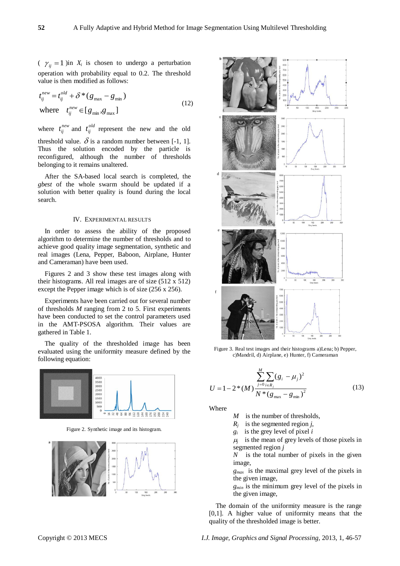$\gamma_{ij} = 1$  )in  $X_i$  is chosen to undergo a perturbation operation with probability equal to 0.2. The threshold value is then modified as follows:

where  $t_{ij}^{new} \in [g_{min}, g_{max}]$  $t_{ij}^{new} = t_{ij}^{old} + \delta * (g_{max} - g_{min})$  $\sum_{ij}^{new} \in$ *ij new*  $t_{ij}^{new} = t_{ij}^{old} + \delta * (g_{max} -$ (12)

where  $t_{ij}^{new}$  and  $t_{ij}^{old}$  represent the new and the old threshold value.  $\delta$  is a random number between [-1, 1]. Thus the solution encoded by the particle is reconfigured, although the number of thresholds belonging to it remains unaltered.

After the SA-based local search is completed, the *gbest* of the whole swarm should be updated if a solution with better quality is found during the local search.

#### IV. EXPERIMENTAL RESULTS

In order to assess the ability of the proposed algorithm to determine the number of thresholds and to achieve good quality image segmentation, synthetic and real images (Lena, Pepper, Baboon, Airplane, Hunter and Cameraman) have been used.

Figures 2 and 3 show these test images along with their histograms. All real images are of size (512 x 512) except the Pepper image which is of size (256 x 256).

Experiments have been carried out for several number of thresholds *M* ranging from 2 to 5. First experiments have been conducted to set the control parameters used in the AMT-PSOSA algorithm. Their values are gathered in Table 1.

The quality of the thresholded image has been evaluated using the uniformity measure defined by the following equation:



Figure 2. Synthetic image and its histogram.





Figure 3. Real test images and their histograms a)Lena; b) Pepper, c)Mandril, d) Airplane, e) Hunter, f) Cameraman

$$
U = 1 - 2*(M) \frac{\sum_{j=0}^{M} \sum_{i \in R_j} (g_i - \mu_j)^2}{N*(g_{\text{max}} - g_{\text{min}})^2}
$$
(13)

Where

- *M* is the number of thresholds,
- $R_j$  is the segmented region *j*,
- *gi* is the grey level of pixel *i*

 $\mu_j$  is the mean of grey levels of those pixels in segmented region *j*

*N* is the total number of pixels in the given image,

*gmax* is the maximal grey level of the pixels in the given image*,*

*gmin* is the minimum grey level of the pixels in the given image,

The domain of the uniformity measure is the range [0,1]. A higher value of uniformity means that the quality of the thresholded image is better.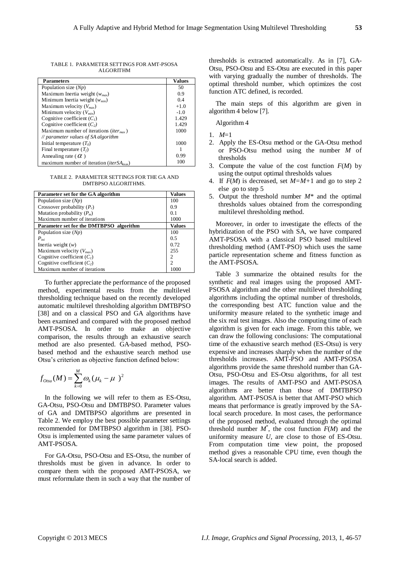TABLE 1. PARAMETER SETTINGS FOR AMT-PSOSA ALGORITHM

| <b>Parameters</b>                                             | <b>Values</b> |
|---------------------------------------------------------------|---------------|
| Population size $(Np)$                                        | 50            |
| Maximum Inertia weight $(w_{max})$                            | 0.9           |
| Minimum Inertia weight $(w_{min})$                            | 0.4           |
| Maximum velocity $(V_{max})$                                  | $+1.0$        |
| Minimum velocity $(V_{min})$                                  | $-1.0$        |
| Cognitive coefficient $(C1)$                                  | 1.429         |
| Cognitive coefficient $(C_2)$                                 | 1.429         |
| Maximum number of iterations ( <i>iter<sub>max</sub></i> )    | 1000          |
| // parameter values of SA algorithm                           |               |
| Initial temperature $(T_0)$                                   | 1000          |
| Final temperature $(T_f)$                                     |               |
| Annealing rate ( $\alpha$ )                                   | 0.99          |
| maximum number of iteration ( <i>iter</i> SA <sub>max</sub> ) | 100           |

TABLE 2. PARAMETER SETTINGS FOR THE GA AND DMTRPSO ALGORITHMS.

| Parameter set for the GA algorithm      | <b>Values</b>  |
|-----------------------------------------|----------------|
| Population size $(Np)$                  | 100            |
| Crossover probability $(P_c)$           | 0.9            |
| Mutation probability $(P_m)$            | 0 <sub>1</sub> |
| Maximum number of iterations            | 1000           |
| Parameter set for the DMTBPSO algorithm | <b>Values</b>  |
| Population size $(Np)$                  | 100            |
| $P_{ini}$                               | 0.5            |
| Inertia weight $(w)$                    | 0.72           |
| Maximum velocity $(V_{max})$            | 255            |
| Cognitive coefficient $(C1)$            | 2              |
| Cognitive coefficient $(C_2)$           | $\mathfrak{D}$ |
| Maximum number of iterations            | 1000           |

To further appreciate the performance of the proposed method, experimental results from the multilevel thresholding technique based on the recently developed automatic multilevel thresholding algorithm DMTBPSO [38] and on a classical PSO and GA algorithms have been examined and compared with the proposed method AMT-PSOSA. In order to make an objective comparison, the results through an exhaustive search method are also presented. GA-based method, PSObased method and the exhaustive search method use Otsu's criterion as objective function defined below:

$$
f_{Otsu}(M) = \sum_{k=0}^{M} \omega_k (\mu_k - \mu)^2
$$

In the following we will refer to them as ES-Otsu, GA-Otsu, PSO-Otsu and DMTBPSO. Parameter values of GA and DMTBPSO algorithms are presented in Table 2. We employ the best possible parameter settings recommended for DMTBPSO algorithm in [38]. PSO-Otsu is implemented using the same parameter values of AMT-PSOSA.

For GA-Otsu, PSO-Otsu and ES-Otsu, the number of thresholds must be given in advance. In order to compare them with the proposed AMT-PSOSA, we must reformulate them in such a way that the number of thresholds is extracted automatically. As in [7], GA-Otsu, PSO-Otsu and ES-Otsu are executed in this paper with varying gradually the number of thresholds. The optimal threshold number, which optimizes the cost function ATC defined, is recorded.

The main steps of this algorithm are given in algorithm 4 below [7].

Algorithm 4

- 1. *M*=1
- 2. Apply the ES-Otsu method or the GA-Otsu method or PSO-Otsu method using the number *M* of thresholds
- 3. Compute the value of the cost function *F*(*M*) by using the output optimal thresholds values
- 4. If *F*(*M*) is decreased, set *M=M+*1 and go to step 2 else *g*o to step 5
- 5. Output the threshold number *M\** and the optimal thresholds values obtained from the corresponding multilevel thresholding method.

Moreover, in order to investigate the effects of the hybridization of the PSO with SA, we have compared AMT-PSOSA with a classical PSO based multilevel thresholding method (AMT-PSO) which uses the same particle representation scheme and fitness function as the AMT-PSOSA.

Table 3 summarize the obtained results for the synthetic and real images using the proposed AMT-PSOSA algorithm and the other multilevel thresholding algorithms including the optimal number of thresholds, the corresponding best ATC function value and the uniformity measure related to the synthetic image and the six real test images. Also the computing time of each algorithm is given for each image. From this table, we can draw the following conclusions: The computational time of the exhaustive search method (ES-Otsu) is very expensive and increases sharply when the number of the thresholds increases. AMT-PSO and AMT-PSOSA algorithms provide the same threshold number than GA-Otsu, PSO-Otsu and ES-Otsu algorithms, for all test images. The results of AMT-PSO and AMT-PSOSA algorithms are better than those of DMTBPSO algorithm. AMT-PSOSA is better that AMT-PSO which means that performance is greatly improved by the SAlocal search procedure. In most cases, the performance of the proposed method, evaluated through the optimal threshold number  $M^*$ , the cost function  $F(M)$  and the uniformity measure *U*, are close to those of ES-Otsu. From computation time view point, the proposed method gives a reasonable CPU time, even though the SA-local search is added.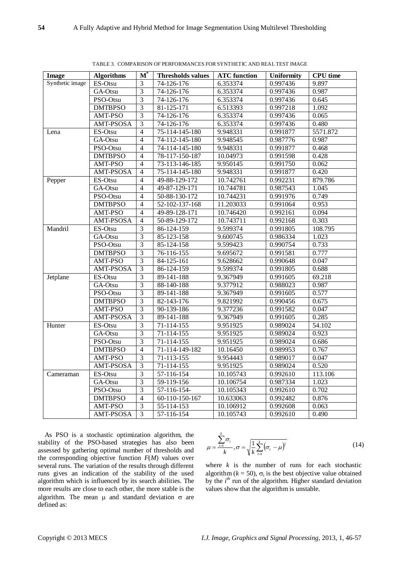| algorithm. The mean $\mu$ and standard deviation $\sigma$ are |  |  |  |  |
|---------------------------------------------------------------|--|--|--|--|
| defined as:                                                   |  |  |  |  |
|                                                               |  |  |  |  |
|                                                               |  |  |  |  |

As PSO is a stochastic optimization algorithm, the stability of the PSO-based strategies has also been assessed by gathering optimal number of thresholds and the corresponding objective function *F*(*M*) values over several runs. The variation of the results through different runs gives an indication of the stability of the used algorithm which is influenced by its search abilities. The more results are close to each other, the more stable is the

 $\sum (\sigma_i - \mu)^2$ 

where  $k$  is the number of runs for each stochastic algorithm ( $k = 50$ ),  $\sigma_i$  is the best objective value obtained by the *i*<sup>th</sup> run of the algorithm. Higher standard deviation

(14)

 $=$ 

 $\sum_{i=1}$ <sup>( $\sigma_i$ </sup>

values show that the algorithm is unstable.

 $=\frac{\sum_{i=1}^{i} \sigma_i}{\sigma}$ ,  $\sigma = \sqrt{\frac{1}{i} \sum_{i=1}^{k} (\sigma_i - \sigma_i)}$ 

 $k \longrightarrow k \longrightarrow k \sum_{i=1}^k$  $\frac{d^{\mathcal{O}_i}}{dt^{\mathcal{O}_i}}, \sigma = \sqrt{\frac{1}{t}\sum_{i=1}^{k}(\sigma_i - \mu)^2}$ 

 $\sum$ 

 $\mu$ 

σ

*k*  $\sum_{i=1}$ <sup> $\cup$ </sup>

| <b>Image</b>    | <b>Algorithms</b>  | $\mathbf{M}^*$ | <b>Thresholds values</b> | <b>ATC</b> function | <b>Uniformity</b> | <b>CPU</b> time |
|-----------------|--------------------|----------------|--------------------------|---------------------|-------------------|-----------------|
| Synthetic image | ES-Otsu            | 3              | 74-126-176               | 6.353374            | 0.997436          | 9.897           |
|                 | GA-Otsu            | $\overline{3}$ | 74-126-176               | 6.353374            | 0.997436          | 0.987           |
|                 | PSO-Otsu           | 3              | 74-126-176               | 6.353374            | 0.997436          | 0.645           |
|                 | <b>DMTBPSO</b>     | $\overline{3}$ | 81-125-171               | 6.513393            | 0.997218          | 1.092           |
|                 | AMT-PSO            | $\overline{3}$ | 74-126-176               | 6.353374            | 0.997436          | 0.065           |
|                 | AMT-PSOSA          | $\overline{3}$ | 74-126-176               | 6.353374            | 0.997436          | 0.480           |
|                 |                    | $\overline{4}$ | 75-114-145-180           | 9.948331            | 0.991877          | 5571.872        |
| Lena            | ES-Otsu<br>GA-Otsu | $\overline{4}$ | 74-112-145-180           | 9.948545            | 0.987776          | 0.987           |
|                 |                    |                |                          |                     |                   |                 |
|                 | PSO-Otsu           | $\overline{4}$ | 74-114-145-180           | 9.948331            | 0.991877          | 0.468           |
|                 | <b>DMTBPSO</b>     | $\overline{4}$ | 78-117-150-187           | 10.04973            | 0.991598          | 0.428           |
|                 | AMT-PSO            | $\overline{4}$ | 73-113-146-185           | 9.950145            | 0.991750          | 0.062           |
|                 | AMT-PSOSA          | $\overline{4}$ | 75-114-145-180           | 9.948331            | 0.991877          | 0.420           |
| Pepper          | ES-Otsu            | $\overline{4}$ | 49-88-129-172            | 10.742761           | 0.992231          | 879.786         |
|                 | GA-Otsu            | $\overline{4}$ | 49-87-129-171            | 10.744781           | 0.987543          | 1.045           |
|                 | PSO-Otsu           | $\overline{4}$ | 50-88-130-172            | 10.744231           | 0.991976          | 0.749           |
|                 | <b>DMTBPSO</b>     | $\overline{4}$ | 52-102-137-168           | 11.203033           | 0.991064          | 0.953           |
|                 | AMT-PSO            | $\overline{4}$ | 49-89-128-171            | 10.746420           | 0.992161          | 0.094           |
|                 | AMT-PSOSA          | $\overline{4}$ | 50-89-129-172            | 10.743711           | 0.992168          | 0.303           |
| Mandril         | ES-Otsu            | 3              | 86-124-159               | 9.599374            | 0.991805          | 108.795         |
|                 | GA-Otsu            | $\overline{3}$ | 85-123-158               | 9.600745            | 0.986334          | 1.023           |
|                 | PSO-Otsu           | $\overline{3}$ | 85-124-158               | 9.599423            | 0.990754          | 0.733           |
|                 | <b>DMTBPSO</b>     | $\overline{3}$ | 76-116-155               | 9.695672            | 0.991581          | 0.777           |
|                 | AMT-PSO            | 3              | 84-125-161               | 9.628662            | 0.990648          | 0.047           |
|                 | AMT-PSOSA          | 3              | 86-124-159               | 9.599374            | 0.991805          | 0.688           |
| Jetplane        | ES-Otsu            | $\overline{3}$ | 89-141-188               | 9.367949            | 0.991605          | 69.218          |
|                 | GA-Otsu            | $\overline{3}$ | 88-140-188               | 9.377912            | 0.988023          | 0.987           |
|                 | PSO-Otsu           | $\overline{3}$ | 89-141-188               | 9.367949            | 0.991605          | 0.577           |
|                 | <b>DMTBPSO</b>     | $\overline{3}$ | 82-143-176               | 9.821992            | 0.990456          | 0.675           |
|                 | AMT-PSO            | $\overline{3}$ | 90-139-186               | 9.377236            | 0.991582          | 0.047           |
|                 | AMT-PSOSA          | $\overline{3}$ | 89-141-188               | 9.367949            | 0.991605          | 0.285           |
| Hunter          | ES-Otsu            | 3              | 71-114-155               | 9.951925            | 0.989024          | 54.102          |
|                 | GA-Otsu            | $\overline{3}$ | 71-114-155               | 9.951925            | 0.989024          | 0.923           |
|                 | PSO-Otsu           | $\overline{3}$ | 71-114-155               | 9.951925            | 0.989024          | 0.686           |
|                 | <b>DMTBPSO</b>     | $\overline{4}$ | 71-114-149-182           | 10.16450            | 0.989953          | 0.767           |
|                 | AMT-PSO            | $\overline{3}$ | 71-113-155               | 9.954443            | 0.989017          | 0.047           |
|                 | AMT-PSOSA          | $\overline{3}$ | 71-114-155               | 9.951925            | 0.989024          | 0.520           |
| Cameraman       | ES-Otsu            | $\overline{3}$ | 57-116-154               | 10.105743           | 0.992610          | 113.106         |
|                 | GA-Otsu            | $\overline{3}$ | 59-119-156               | 10.106754           | 0.987334          | 1.023           |
|                 | PSO-Otsu           | $\overline{3}$ | 57-116-154-              | 10.105343           | 0.992610          | 0.702           |
|                 | <b>DMTBPSO</b>     | $\overline{4}$ | 60-110-150-167           | 10.633063           | 0.992482          | 0.876           |
|                 | AMT-PSO            | $\overline{3}$ | 55-114-153               | 10.106912           | 0.992608          | 0.063           |
|                 | AMT-PSOSA          | 3              | 57-116-154               | 10.105743           | 0.992610          | 0.490           |

TABLE 3. COMPARISON OF PERFORMANCES FOR SYNTHETIC AND REAL TEST IMAGE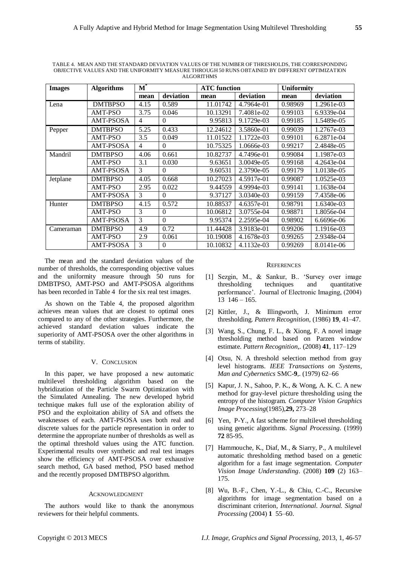| <b>Images</b> | <b>Algorithms</b> | $\mathbf{M}^*$ |           | <b>ATC</b> function |            | <b>Uniformity</b> |            |  |
|---------------|-------------------|----------------|-----------|---------------------|------------|-------------------|------------|--|
|               |                   | mean           | deviation | mean                | deviation  | mean              | deviation  |  |
| Lena          | <b>DMTBPSO</b>    | 4.15           | 0.589     | 11.01742            | 4.7964e-01 | 0.98969           | 1.2961e-03 |  |
|               | AMT-PSO           | 3.75           | 0.046     | 10.13291            | 7.4081e-02 | 0.99103           | 6.9339e-04 |  |
|               | AMT-PSOSA         | 4              | $\theta$  | 9.95813             | 9.1729e-03 | 0.99185           | 1.5489e-05 |  |
| Pepper        | <b>DMTBPSO</b>    | 5.25           | 0.433     | 12.24612            | 3.5860e-01 | 0.99039           | 1.2767e-03 |  |
|               | AMT-PSO           | 3.5            | 0.049     | 11.01522            | 1.1722e-03 | 0.99101           | 6.2871e-04 |  |
|               | AMT-PSOSA         | 4              | $\Omega$  | 10.75325            | 1.0666e-03 | 0.99217           | 2.4848e-05 |  |
| Mandril       | <b>DMTBPSO</b>    | 4.06           | 0.661     | 10.82737            | 4.7496e-01 | 0.99084           | 1.1987e-03 |  |
|               | AMT-PSO           | 3.1            | 0.030     | 9.63651             | 3.0049e-05 | 0.99168           | 4.2643e-04 |  |
|               | AMT-PSOSA         | 3              | $\Omega$  | 9.60531             | 2.3790e-05 | 0.99179           | 1.0138e-05 |  |
| Jetplane      | <b>DMTBPSO</b>    | 4.05           | 0.668     | 10.27023            | 4.5917e-01 | 0.99087           | 1.0525e-03 |  |
|               | AMT-PSO           | 2.95           | 0.022     | 9.44559             | 4.9994e-03 | 0.99141           | 1.1638e-04 |  |
|               | AMT-PSOSA         | 3              | $\Omega$  | 9.37127             | 3.0340e-03 | 0.99159           | 7.4358e-06 |  |
| Hunter        | <b>DMTBPSO</b>    | 4.15           | 0.572     | 10.88537            | 4.6357e-01 | 0.98791           | 1.6340e-03 |  |
|               | AMT-PSO           | 3              | $\theta$  | 10.06812            | 3.0755e-04 | 0.98871           | 1.8056e-04 |  |
|               | <b>AMT-PSOSA</b>  | 3              | $\Omega$  | 9.95374             | 2.2595e-04 | 0.98902           | 6.6696e-06 |  |
| Cameraman     | <b>DMTBPSO</b>    | 4.9            | 0.72      | 11.44428            | 3.9183e-01 | 0.99206           | 1.1916e-03 |  |
|               | AMT-PSO           | 2.9            | 0.061     | 10.19008            | 4.1678e-03 | 0.99265           | 2.9348e-04 |  |
|               | AMT-PSOSA         | 3              | $\theta$  | 10.10832            | 4.1132e-03 | 0.99269           | 8.0141e-06 |  |

TABLE 4. MEAN AND THE STANDARD DEVIATION VALUES OF THE NUMBER OF THRESHOLDS, THE CORRESPONDING OBJECTIVE VALUES AND THE UNIFORMITY MEASURE THROUGH 50 RUNS OBTAINED BY DIFFERENT OPTIMIZATION ALGORITHMS

The mean and the standard deviation values of the number of thresholds, the corresponding objective values and the uniformity measure through 50 runs for DMBTPSO, AMT-PSO and AMT-PSOSA algorithms has been recorded in Table 4 for the six real test images.

As shown on the Table 4, the proposed algorithm achieves mean values that are closest to optimal ones compared to any of the other strategies. Furthermore, the achieved standard deviation values indicate the superiority of AMT-PSOSA over the other algorithms in terms of stability.

# V. CONCLUSION

In this paper, we have proposed a new automatic multilevel thresholding algorithm based on the hybridization of the Particle Swarm Optimization with the Simulated Annealing. The new developed hybrid technique makes full use of the exploration ability of PSO and the exploitation ability of SA and offsets the weaknesses of each. AMT-PSOSA uses both real and discrete values for the particle representation in order to determine the appropriate number of thresholds as well as the optimal threshold values using the ATC function. Experimental results over synthetic and real test images show the efficiency of AMT-PSOSA over exhaustive search method, GA based method, PSO based method and the recently proposed DMTBPSO algorithm.

# ACKNOWLEDGMENT

The authors would like to thank the anonymous reviewers for their helpful comments.

#### **REFERENCES**

- [1] Sezgin, M., & Sankur, B.. ‗Survey over image thresholding techniques and quantitative performance'. Journal of Electronic Imaging, (2004) 13 146 – 165.
- [2] Kittler, J., & Illingworth, J. Minimum error thresholding. *Pattern Recognition,* (1986) **19**, 41–47.
- [3] Wang, S., Chung, F. L., & Xiong, F. A novel image thresholding method based on Parzen window estimate. *Pattern Recognition*,. (2008) **41**, 117–129
- [4] Otsu, N. A threshold selection method from gray level histograms. *IEEE Transactions on Systems, Man and Cybernetics* SMC-**9**,. (1979) 62–66
- [5] Kapur, J. N., Sahoo, P. K., & Wong, A. K. C. A new method for gray-level picture thresholding using the entropy of the histogram. *Computer Vision Graphics Image Processing*(1985),**29,** 273–28
- [6] Yen, P-Y., A fast scheme for multilevel thresholding using genetic algorithms. *Signal Processing*. (1999) **72** 85-95.
- [7] Hammouche, K., Diaf, M., & Siarry, P., A multilevel automatic thresholding method based on a genetic algorithm for a fast image segmentation. *Computer Vision Image Understanding*. (2008) **109** (2) 163– 175.
- [8] Wu, B.-F., Chen, Y.-L., & Chiu, C.-C., Recursive algorithms for image segmentation based on a discriminant criterion*, International. Journal. Signal Processing* (2004) **1** 55–60.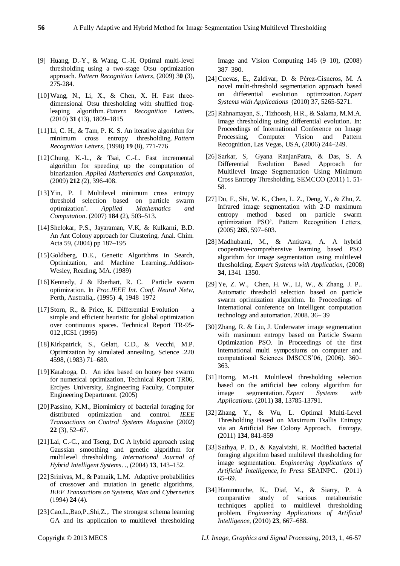- [9] Huang, D.-Y., & Wang, C.-H. Optimal multi-level thresholding using a two-stage Otsu optimization approach. *Pattern Recognition Letters*, (2009) 3**0 (**3), 275-284.
- $[10]$  Wang, N., Li, X., & Chen, X. H. Fast threedimensional Otsu thresholding with shuffled frogleaping algorithm. *Pattern Recognition Lett*ers. (2010) **31 (**13), 1809–1815
- [11] Li, C. H., & Tam, P. K. S. An iterative algorithm for minimum cross entropy thresholding. *Pattern Recognition Letters*, (1998) **19** (8), 771-776
- [12] Chung, K.-L., & Tsai, C.-L. Fast incremental algorithm for speeding up the computation of binarization. *Applied Mathematics and Computation*, (2009) **212** *(*2), 396-408.
- [13] Yin, P. I Multilevel minimum cross entropy threshold selection based on particle swarm optimization'. *Applied Mathematics and Computation*. (2007) **184 (**2), 503–513.
- [14] Shelokar, P.S., Jayaraman, V.K, & Kulkarni, B.D. An Ant Colony approach for Clustering. Anal. Chim. Acta 59, (2004) pp 187–195
- [15] Goldberg, D.E., Genetic Algorithms in Search, Optimization, and Machine Learning..Addison-Wesley, Reading, MA. (1989)
- [16] Kennedy, J & Eberhart, R. C. Particle swarm optimization. In *Proc.IEEE Int. Conf. Neural Netw*, Perth, Australia,. (1995) **4**, 1948–1972
- [17] Storn, R., & Price, K. Differential Evolution a simple and efficient heuristic for global optimization over continuous spaces. Technical Report TR-95- 012.,ICSI. (1995)
- [18] Kirkpatrick, S., Gelatt, C.D., & Vecchi, M.P. Optimization by simulated annealing. Science .220 4598, (1983) 71–680.
- [19] Karaboga, D. An idea based on honey bee swarm for numerical optimization, Technical Report TR06, Erciyes University, Engineering Faculty, Computer Engineering Department. (2005)
- [20] Passino, K.M., Biomimicry of bacterial foraging for distributed optimization and control. *IEEE Transactions on Control Systems Magazine* (2002) **22** (3), 52–67.
- [21] Lai, C.-C., and Tseng, D.C A hybrid approach using Gaussian smoothing and genetic algorithm for multilevel thresholding. *International Journal of Hybrid Intelligent Systems*. ., (2004) **13**, 143–152.
- [22] Srinivas, M., & Patnaik, L.M. Adaptive probabilities of crossover and mutation in genetic algorithms, *IEEE Transactions on Systems, Man and Cybernetics* (1994) **24** (4).
- [23] Cao,L.,Bao,P.,Shi,Z.,. The strongest schema learning GA and its application to multilevel thresholding

Image and Vision Computing 146 (9–10), (2008) 387–390.

- [24] Cuevas, E., Zaldivar, D. & Pérez-Cisneros, M. A novel multi-threshold segmentation approach based on differential evolution optimization. *Expert Systems with Applications* (2010) 37, 5265-5271.
- [25] Rahnamayan, S., Tizhoosh, H.R., & Salama, M.M.A. Image thresholding using differential evolution. In: Proceedings of International Conference on Image Processing, Computer Vision and Pattern Recognition, Las Vegas, USA, (2006) 244–249.
- [26] Sarkar, S, Gyana RanjanPatra, & Das, S. A Differential Evolution Based Approach for Multilevel Image Segmentation Using Minimum Cross Entropy Thresholding. SEMCCO (2011) 1. 51- 58.
- [27] Du, F., Shi, W. K., Chen, L. Z., Deng, Y., & Zhu, Z. Infrared image segmentation with 2-D maximum entropy method based on particle swarm optimization PSO'. Pattern Recognition Letters, (2005) **265**, 597–603.
- [28] Madhubanti, M., & Amitava, A. A hybrid cooperative-comprehensive learning based PSO algorithm for image segmentation using multilevel thresholding. *Expert Systems with Application,* (2008) **34**, 1341–1350.
- [29] Ye, Z. W., Chen, H. W., Li, W., & Zhang, J. P.. Automatic threshold selection based on particle swarm optimization algorithm. In Proceedings of international conference on intelligent computation technology and automation. 2008. 36– 39
- [30] Zhang, R. & Liu, J. Underwater image segmentation with maximum entropy based on Particle Swarm Optimization PSO. In Proceedings of the first international multi symposiums on computer and computational Sciences IMSCCS'06, (2006). 360– 363.
- [31] Horng, M.-H. Multilevel thresholding selection based on the artificial bee colony algorithm for image segmentation. *Expert Systems with Applications*. (2011) **38**, 13785-13791.
- [32] Zhang, Y., & Wu, L. Optimal Multi-Level Thresholding Based on Maximum Tsallis Entropy via an Artificial Bee Colony Approach. *Entropy,* (2011) **134**, 841-859
- [33] Sathya, P. D., & Kayalvizhi, R. Modified bacterial foraging algorithm based multilevel thresholding for image segmentation. *Engineering Applications of Artificial Intelligence*, *In Press* SEAINPC. (2011) 65–69.
- [34] Hammouche, K., Diaf, M., & Siarry, P. A comparative study of various metaheuristic techniques applied to multilevel thresholding problem. *Engineering Applications of Artificial Intelligence*, (2010) **23**, 667–688.